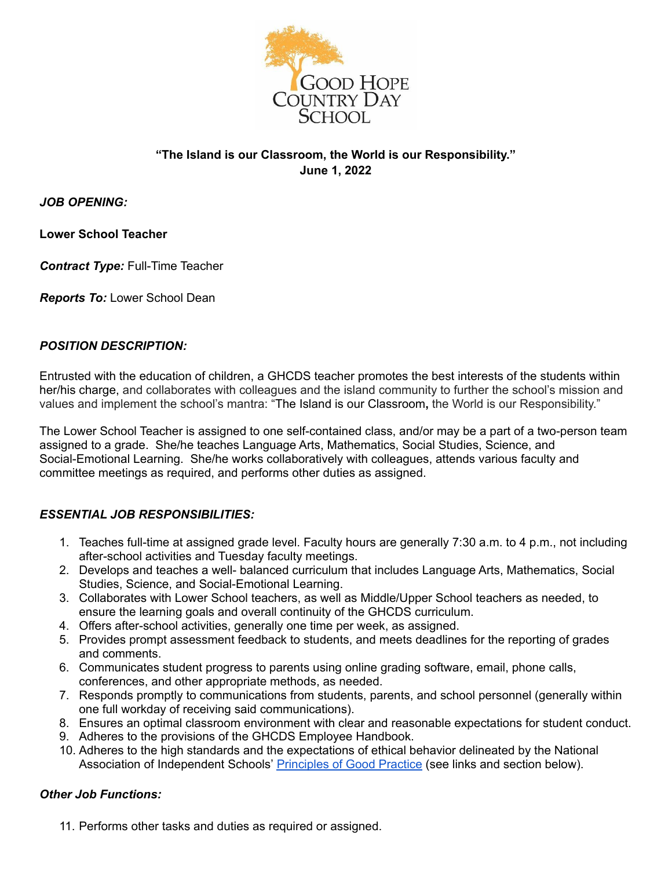

# **"The Island is our Classroom, the World is our Responsibility." June 1, 2022**

*JOB OPENING:*

**Lower School Teacher**

*Contract Type:* Full-Time Teacher

*Reports To:* Lower School Dean

## *POSITION DESCRIPTION:*

Entrusted with the education of children, a GHCDS teacher promotes the best interests of the students within her/his charge, and collaborates with colleagues and the island community to further the school's mission and values and implement the school's mantra: "The Island is our Classroom**,** the World is our Responsibility."

The Lower School Teacher is assigned to one self-contained class, and/or may be a part of a two-person team assigned to a grade. She/he teaches Language Arts, Mathematics, Social Studies, Science, and Social-Emotional Learning. She/he works collaboratively with colleagues, attends various faculty and committee meetings as required, and performs other duties as assigned.

# *ESSENTIAL JOB RESPONSIBILITIES:*

- 1. Teaches full-time at assigned grade level. Faculty hours are generally 7:30 a.m. to 4 p.m., not including after-school activities and Tuesday faculty meetings.
- 2. Develops and teaches a well- balanced curriculum that includes Language Arts, Mathematics, Social Studies, Science, and Social-Emotional Learning.
- 3. Collaborates with Lower School teachers, as well as Middle/Upper School teachers as needed, to ensure the learning goals and overall continuity of the GHCDS curriculum.
- 4. Offers after-school activities, generally one time per week, as assigned.
- 5. Provides prompt assessment feedback to students, and meets deadlines for the reporting of grades and comments.
- 6. Communicates student progress to parents using online grading software, email, phone calls, conferences, and other appropriate methods, as needed.
- 7. Responds promptly to communications from students, parents, and school personnel (generally within one full workday of receiving said communications).
- 8. Ensures an optimal classroom environment with clear and reasonable expectations for student conduct.
- 9. Adheres to the provisions of the GHCDS Employee Handbook.
- 10. Adheres to the high standards and the expectations of ethical behavior delineated by the National Association of Independent Schools' [Principles](https://www.nais.org/getmedia/39e99ca5-0821-47d7-b710-eeaf6e0ca114/NAIS_PGP_2017.pdf) of Good Practice (see links and section below).

### *Other Job Functions:*

11. Performs other tasks and duties as required or assigned.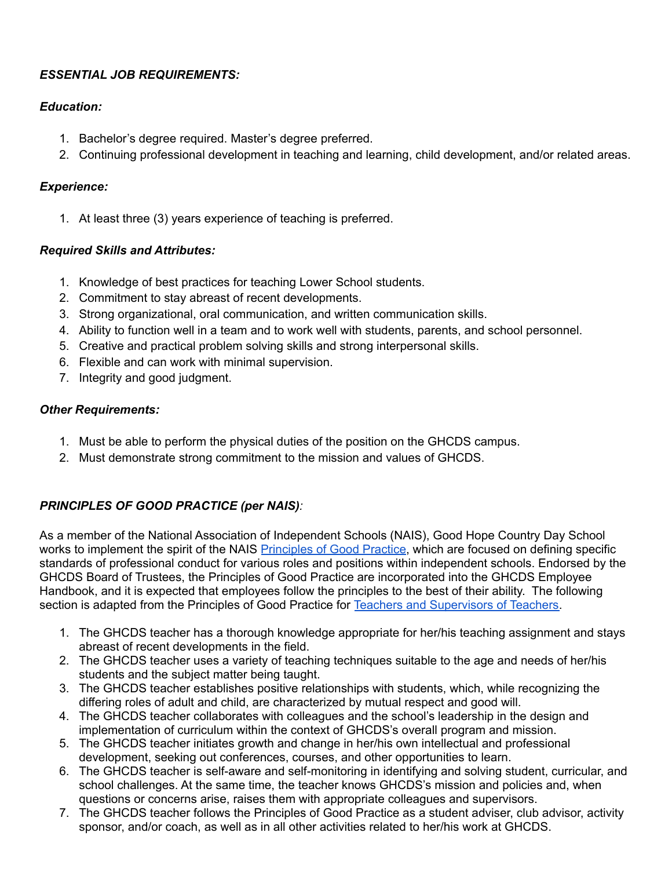# *ESSENTIAL JOB REQUIREMENTS:*

# *Education:*

- 1. Bachelor's degree required. Master's degree preferred.
- 2. Continuing professional development in teaching and learning, child development, and/or related areas.

## *Experience:*

1. At least three (3) years experience of teaching is preferred.

# *Required Skills and Attributes:*

- 1. Knowledge of best practices for teaching Lower School students.
- 2. Commitment to stay abreast of recent developments.
- 3. Strong organizational, oral communication, and written communication skills.
- 4. Ability to function well in a team and to work well with students, parents, and school personnel.
- 5. Creative and practical problem solving skills and strong interpersonal skills.
- 6. Flexible and can work with minimal supervision.
- 7. Integrity and good judgment.

## *Other Requirements:*

- 1. Must be able to perform the physical duties of the position on the GHCDS campus.
- 2. Must demonstrate strong commitment to the mission and values of GHCDS.

# *PRINCIPLES OF GOOD PRACTICE (per NAIS):*

As a member of the National Association of Independent Schools (NAIS), Good Hope Country Day School works to implement the spirit of the NAIS [Principles](https://www.nais.org/getmedia/39e99ca5-0821-47d7-b710-eeaf6e0ca114/NAIS_PGP_2017.pdf) of Good Practice, which are focused on defining specific standards of professional conduct for various roles and positions within independent schools. Endorsed by the GHCDS Board of Trustees, the Principles of Good Practice are incorporated into the GHCDS Employee Handbook, and it is expected that employees follow the principles to the best of their ability. The following section is adapted from the Principles of Good Practice for Teachers and [Supervisors](https://www.nais.org/learn/principles-of-good-practice/teachers-and-supervisors-of-teachers/) of Teachers.

- 1. The GHCDS teacher has a thorough knowledge appropriate for her/his teaching assignment and stays abreast of recent developments in the field.
- 2. The GHCDS teacher uses a variety of teaching techniques suitable to the age and needs of her/his students and the subject matter being taught.
- 3. The GHCDS teacher establishes positive relationships with students, which, while recognizing the differing roles of adult and child, are characterized by mutual respect and good will.
- 4. The GHCDS teacher collaborates with colleagues and the school's leadership in the design and implementation of curriculum within the context of GHCDS's overall program and mission.
- 5. The GHCDS teacher initiates growth and change in her/his own intellectual and professional development, seeking out conferences, courses, and other opportunities to learn.
- 6. The GHCDS teacher is self-aware and self-monitoring in identifying and solving student, curricular, and school challenges. At the same time, the teacher knows GHCDS's mission and policies and, when questions or concerns arise, raises them with appropriate colleagues and supervisors.
- 7. The GHCDS teacher follows the Principles of Good Practice as a student adviser, club advisor, activity sponsor, and/or coach, as well as in all other activities related to her/his work at GHCDS.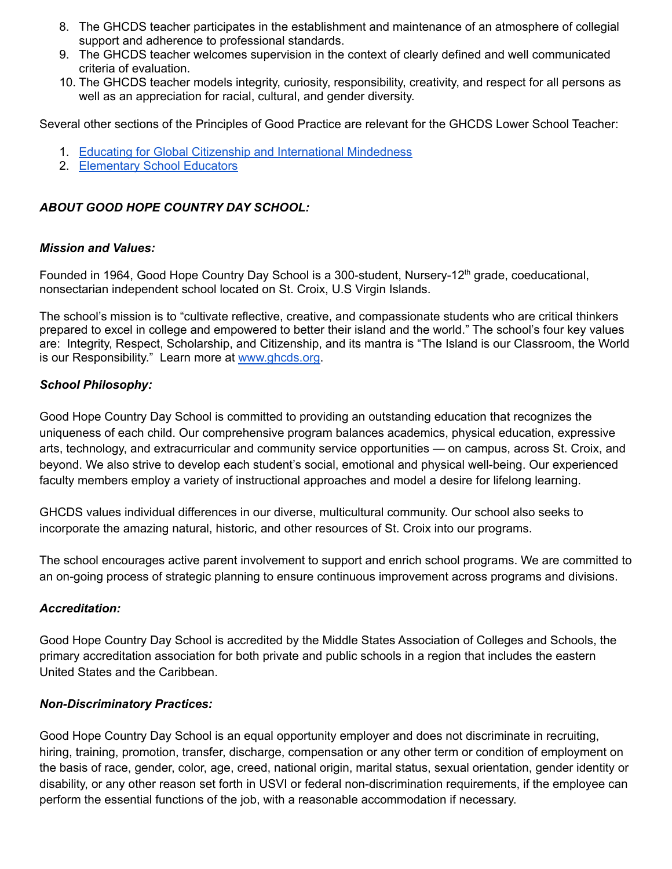- 8. The GHCDS teacher participates in the establishment and maintenance of an atmosphere of collegial support and adherence to professional standards.
- 9. The GHCDS teacher welcomes supervision in the context of clearly defined and well communicated criteria of evaluation.
- 10. The GHCDS teacher models integrity, curiosity, responsibility, creativity, and respect for all persons as well as an appreciation for racial, cultural, and gender diversity.

Several other sections of the Principles of Good Practice are relevant for the GHCDS Lower School Teacher:

- 1. Educating for Global Citizenship and [International](https://www.nais.org/learn/principles-of-good-practice/educating-for-global-citizenship/) Mindedness
- 2. [Elementary](https://www.nais.org/learn/principles-of-good-practice/elementary-school-educators/) School Educators

## *ABOUT GOOD HOPE COUNTRY DAY SCHOOL:*

#### *Mission and Values:*

Founded in 1964, Good Hope Country Day School is a 300-student, Nursery-12<sup>th</sup> grade, coeducational, nonsectarian independent school located on St. Croix, U.S Virgin Islands.

The school's mission is to "cultivate reflective, creative, and compassionate students who are critical thinkers prepared to excel in college and empowered to better their island and the world." The school's four key values are: Integrity, Respect, Scholarship, and Citizenship, and its mantra is "The Island is our Classroom, the World is our Responsibility." Learn more at [www.ghcds.org.](http://www.ghcds.org)

### *School Philosophy:*

Good Hope Country Day School is committed to providing an outstanding education that recognizes the uniqueness of each child. Our comprehensive program balances academics, physical education, expressive arts, technology, and extracurricular and community service opportunities — on campus, across St. Croix, and beyond. We also strive to develop each student's social, emotional and physical well-being. Our experienced faculty members employ a variety of instructional approaches and model a desire for lifelong learning.

GHCDS values individual differences in our diverse, multicultural community. Our school also seeks to incorporate the amazing natural, historic, and other resources of St. Croix into our programs.

The school encourages active parent involvement to support and enrich school programs. We are committed to an on-going process of strategic planning to ensure continuous improvement across programs and divisions.

#### *Accreditation:*

Good Hope Country Day School is accredited by the Middle States Association of Colleges and Schools, the primary accreditation association for both private and public schools in a region that includes the eastern United States and the Caribbean.

### *Non-Discriminatory Practices:*

Good Hope Country Day School is an equal opportunity employer and does not discriminate in recruiting, hiring, training, promotion, transfer, discharge, compensation or any other term or condition of employment on the basis of race, gender, color, age, creed, national origin, marital status, sexual orientation, gender identity or disability, or any other reason set forth in USVI or federal non-discrimination requirements, if the employee can perform the essential functions of the job, with a reasonable accommodation if necessary.